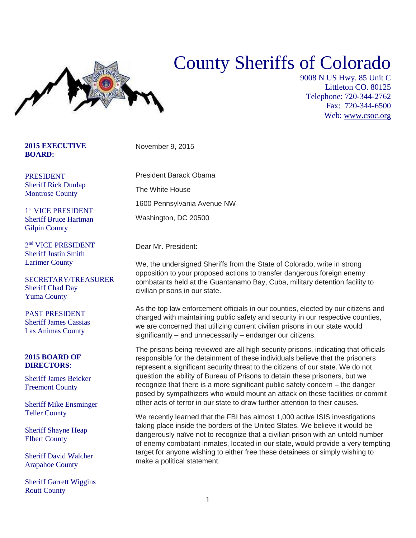## County Sheriffs of Colorado



9008 N US Hwy. 85 Unit C Littleton CO. 80125 Telephone: 720-344-2762 Fax: 720-344-6500 Web: [www.csoc.org](http://www.csoc.org/)

## **2015 EXECUTIVE BOARD:**

PRESIDENT Sheriff Rick Dunlap Montrose County

1 st VICE PRESIDENT Sheriff Bruce Hartman Gilpin County

2 nd VICE PRESIDENT Sheriff Justin Smith Larimer County

SECRETARY/TREASURER Sheriff Chad Day Yuma County

PAST PRESIDENT Sheriff James Cassias Las Animas County

## **2015 BOARD OF DIRECTORS**:

Sheriff James Beicker Freemont County

Sheriff Mike Ensminger Teller County

Sheriff Shayne Heap Elbert County

Sheriff David Walcher Arapahoe County

Sheriff Garrett Wiggins Routt County

November 9, 2015

President Barack Obama

The White House

1600 Pennsylvania Avenue NW

Washington, DC 20500

Dear Mr. President:

We, the undersigned Sheriffs from the State of Colorado, write in strong opposition to your proposed actions to transfer dangerous foreign enemy combatants held at the Guantanamo Bay, Cuba, military detention facility to civilian prisons in our state.

As the top law enforcement officials in our counties, elected by our citizens and charged with maintaining public safety and security in our respective counties, we are concerned that utilizing current civilian prisons in our state would significantly – and unnecessarily – endanger our citizens.

The prisons being reviewed are all high security prisons, indicating that officials responsible for the detainment of these individuals believe that the prisoners represent a significant security threat to the citizens of our state. We do not question the ability of Bureau of Prisons to detain these prisoners, but we recognize that there is a more significant public safety concern – the danger posed by sympathizers who would mount an attack on these facilities or commit other acts of terror in our state to draw further attention to their causes.

We recently learned that the FBI has almost 1,000 active ISIS investigations taking place inside the borders of the United States. We believe it would be dangerously naïve not to recognize that a civilian prison with an untold number of enemy combatant inmates, located in our state, would provide a very tempting target for anyone wishing to either free these detainees or simply wishing to make a political statement.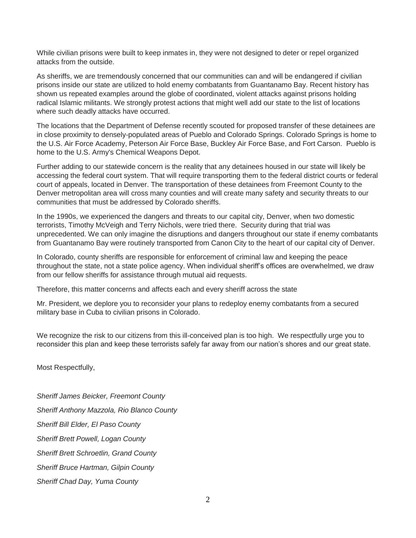While civilian prisons were built to keep inmates in, they were not designed to deter or repel organized attacks from the outside.

As sheriffs, we are tremendously concerned that our communities can and will be endangered if civilian prisons inside our state are utilized to hold enemy combatants from Guantanamo Bay. Recent history has shown us repeated examples around the globe of coordinated, violent attacks against prisons holding radical Islamic militants. We strongly protest actions that might well add our state to the list of locations where such deadly attacks have occurred.

The locations that the Department of Defense recently scouted for proposed transfer of these detainees are in close proximity to densely-populated areas of Pueblo and Colorado Springs. Colorado Springs is home to the U.S. Air Force Academy, Peterson Air Force Base, Buckley Air Force Base, and Fort Carson. Pueblo is home to the U.S. Army's Chemical Weapons Depot.

Further adding to our statewide concern is the reality that any detainees housed in our state will likely be accessing the federal court system. That will require transporting them to the federal district courts or federal court of appeals, located in Denver. The transportation of these detainees from Freemont County to the Denver metropolitan area will cross many counties and will create many safety and security threats to our communities that must be addressed by Colorado sheriffs.

In the 1990s, we experienced the dangers and threats to our capital city, Denver, when two domestic terrorists, Timothy McVeigh and Terry Nichols, were tried there. Security during that trial was unprecedented. We can only imagine the disruptions and dangers throughout our state if enemy combatants from Guantanamo Bay were routinely transported from Canon City to the heart of our capital city of Denver.

In Colorado, county sheriffs are responsible for enforcement of criminal law and keeping the peace throughout the state, not a state police agency. When individual sheriff's offices are overwhelmed, we draw from our fellow sheriffs for assistance through mutual aid requests.

Therefore, this matter concerns and affects each and every sheriff across the state

Mr. President, we deplore you to reconsider your plans to redeploy enemy combatants from a secured military base in Cuba to civilian prisons in Colorado.

We recognize the risk to our citizens from this ill-conceived plan is too high. We respectfully urge you to reconsider this plan and keep these terrorists safely far away from our nation's shores and our great state.

Most Respectfully,

*Sheriff James Beicker, Freemont County Sheriff Anthony Mazzola, Rio Blanco County Sheriff Bill Elder, El Paso County Sheriff Brett Powell, Logan County Sheriff Brett Schroetlin, Grand County Sheriff Bruce Hartman, Gilpin County Sheriff Chad Day, Yuma County*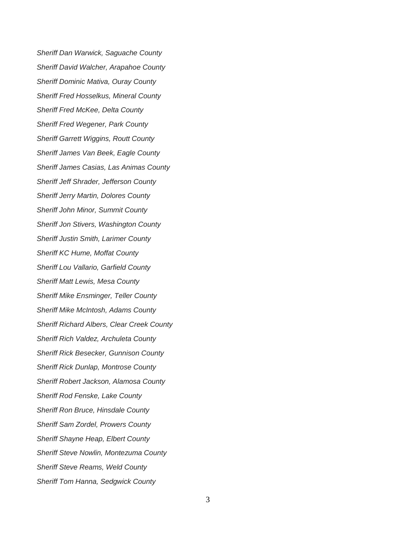*Sheriff Dan Warwick, Saguache County Sheriff David Walcher, Arapahoe County Sheriff Dominic Mativa, Ouray County Sheriff Fred Hosselkus, Mineral County Sheriff Fred McKee, Delta County Sheriff Fred Wegener, Park County Sheriff Garrett Wiggins, Routt County Sheriff James Van Beek, Eagle County Sheriff James Casias, Las Animas County Sheriff Jeff Shrader, Jefferson County Sheriff Jerry Martin, Dolores County Sheriff John Minor, Summit County Sheriff Jon Stivers, Washington County Sheriff Justin Smith, Larimer County Sheriff KC Hume, Moffat County Sheriff Lou Vallario, Garfield County Sheriff Matt Lewis, Mesa County Sheriff Mike Ensminger, Teller County Sheriff Mike McIntosh, Adams County Sheriff Richard Albers, Clear Creek County Sheriff Rich Valdez, Archuleta County Sheriff Rick Besecker, Gunnison County Sheriff Rick Dunlap, Montrose County Sheriff Robert Jackson, Alamosa County Sheriff Rod Fenske, Lake County Sheriff Ron Bruce, Hinsdale County Sheriff Sam Zordel, Prowers County Sheriff Shayne Heap, Elbert County Sheriff Steve Nowlin, Montezuma County Sheriff Steve Reams, Weld County Sheriff Tom Hanna, Sedgwick County*